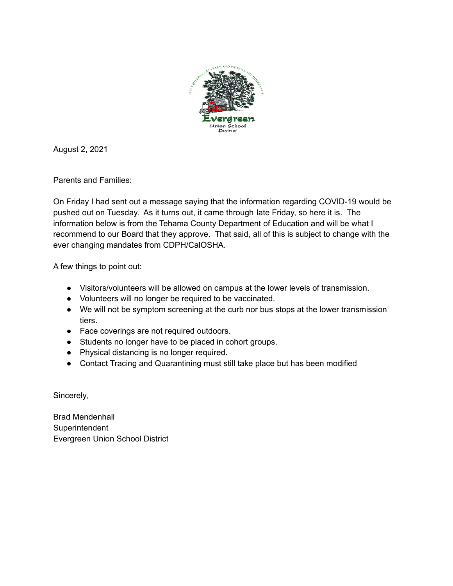

August 2, 2021

Parents and Families:

On Friday I had sent out a message saying that the information regarding COVID-19 would be pushed out on Tuesday. As it turns out, it came through late Friday, so here it is. The information below is from the Tehama County Department of Education and will be what I recommend to our Board that they approve. That said, all of this is subject to change with the ever changing mandates from CDPH/CalOSHA.

A few things to point out:

- Visitors/volunteers will be allowed on campus at the lower levels of transmission.
- Volunteers will no longer be required to be vaccinated.
- We will not be symptom screening at the curb nor bus stops at the lower transmission tiers.
- Face coverings are not required outdoors.
- Students no longer have to be placed in cohort groups.
- Physical distancing is no longer required.
- Contact Tracing and Quarantining must still take place but has been modified

Sincerely,

Brad Mendenhall Superintendent Evergreen Union School District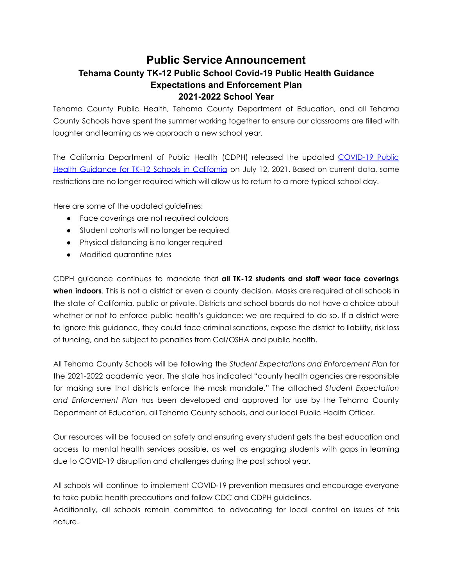## **Public Service Announcement Tehama County TK-12 Public School Covid-19 Public Health Guidance Expectations and Enforcement Plan 2021-2022 School Year**

Tehama County Public Health, Tehama County Department of Education, and all Tehama County Schools have spent the summer working together to ensure our classrooms are filled with laughter and learning as we approach a new school year.

The California Department of Public Health (CDPH) released the updated [COVID-19](https://www.cdph.ca.gov/Programs/CID/DCDC/Pages/COVID-19/K-12-Guidance-2021-22-School-Year.aspx) Public Health [Guidance](https://www.cdph.ca.gov/Programs/CID/DCDC/Pages/COVID-19/K-12-Guidance-2021-22-School-Year.aspx) for TK-12 Schools in California on July 12, 2021. Based on current data, some restrictions are no longer required which will allow us to return to a more typical school day.

Here are some of the updated guidelines:

- Face coverings are not required outdoors
- Student cohorts will no longer be required
- Physical distancing is no longer required
- Modified quarantine rules

CDPH guidance continues to mandate that **all TK-12 students and staff wear face coverings when indoors**. This is not a district or even a county decision. Masks are required at all schools in the state of California, public or private. Districts and school boards do not have a choice about whether or not to enforce public health's guidance; we are required to do so. If a district were to ignore this guidance, they could face criminal sanctions, expose the district to liability, risk loss of funding, and be subject to penalties from Cal/OSHA and public health.

All Tehama County Schools will be following the *Student Expectations and Enforcement Plan* for the 2021-2022 academic year. The state has indicated "county health agencies are responsible for making sure that districts enforce the mask mandate." The attached *Student Expectation and Enforcement Plan* has been developed and approved for use by the Tehama County Department of Education, all Tehama County schools, and our local Public Health Officer.

Our resources will be focused on safety and ensuring every student gets the best education and access to mental health services possible, as well as engaging students with gaps in learning due to COVID-19 disruption and challenges during the past school year.

All schools will continue to implement COVID-19 prevention measures and encourage everyone to take public health precautions and follow CDC and CDPH guidelines.

Additionally, all schools remain committed to advocating for local control on issues of this nature.